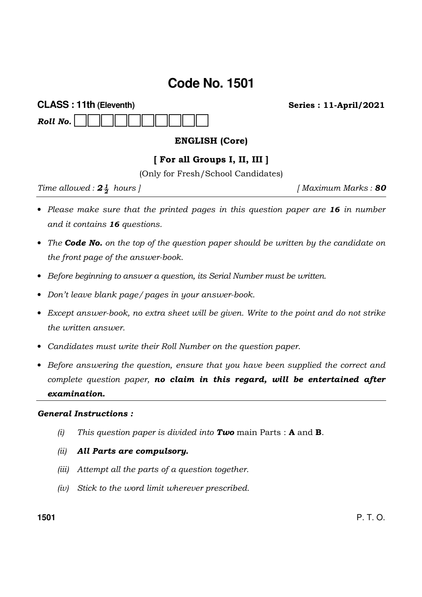# **Code No. 1501**

| <b>CLASS: 11th (Eleventh)</b> |  |  |  |  |  |  |  | <b>Series: 11-April/2021</b> |  |  |  |
|-------------------------------|--|--|--|--|--|--|--|------------------------------|--|--|--|
|                               |  |  |  |  |  |  |  |                              |  |  |  |

### ENGLISH (Core)

#### [ For all Groups I, II, III ]

(Only for Fresh/School Candidates)

Time allowed :  $2\frac{1}{2}$  hours |

 $1$  Maximum Marks : 80

- Please make sure that the printed pages in this question paper are 16 in number and it contains 16 questions.
- The Code No. on the top of the question paper should be written by the candidate on the front page of the answer-book.
- Before beginning to answer a question, its Serial Number must be written.
- Don't leave blank page/pages in your answer-book.
- Except answer-book, no extra sheet will be given. Write to the point and do not strike the written answer.
- Candidates must write their Roll Number on the question paper.
- Before answering the question, ensure that you have been supplied the correct and complete question paper, no claim in this regard, will be entertained after examination.

#### General Instructions :

(i) This question paper is divided into **Two** main Parts : **A** and **B**.

#### (ii) All Parts are compulsory.

- (iii) Attempt all the parts of a question together.
- (iv) Stick to the word limit wherever prescribed.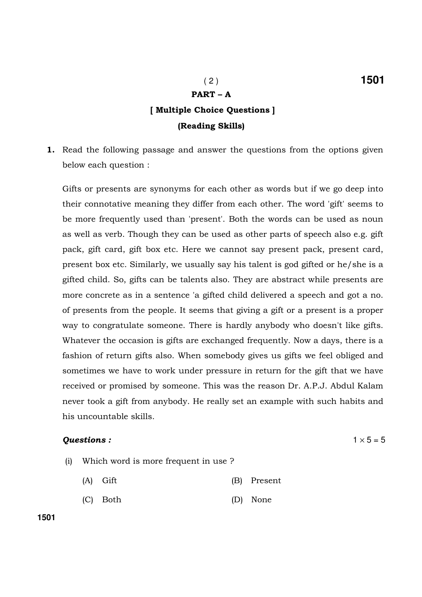# PART – A

## [ Multiple Choice Questions ] (Reading Skills)

1. Read the following passage and answer the questions from the options given below each question :

Gifts or presents are synonyms for each other as words but if we go deep into their connotative meaning they differ from each other. The word 'gift' seems to be more frequently used than 'present'. Both the words can be used as noun as well as verb. Though they can be used as other parts of speech also e.g. gift pack, gift card, gift box etc. Here we cannot say present pack, present card, present box etc. Similarly, we usually say his talent is god gifted or he/she is a gifted child. So, gifts can be talents also. They are abstract while presents are more concrete as in a sentence 'a gifted child delivered a speech and got a no. of presents from the people. It seems that giving a gift or a present is a proper way to congratulate someone. There is hardly anybody who doesn't like gifts. Whatever the occasion is gifts are exchanged frequently. Now a days, there is a fashion of return gifts also. When somebody gives us gifts we feel obliged and sometimes we have to work under pressure in return for the gift that we have received or promised by someone. This was the reason Dr. A.P.J. Abdul Kalam never took a gift from anybody. He really set an example with such habits and his uncountable skills.

#### **Questions :**  $1 \times 5 = 5$

- (i) Which word is more frequent in use ?
	- (A) Gift (B) Present
	- (C) Both (D) None

**1501**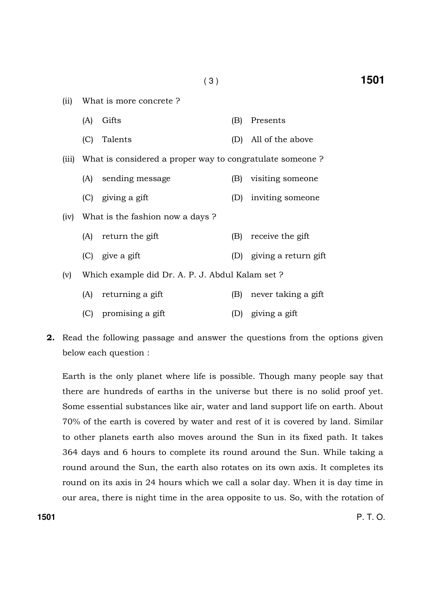| (ii)  |     | What is more concrete?                                   |     |                          |  |  |  |  |  |
|-------|-----|----------------------------------------------------------|-----|--------------------------|--|--|--|--|--|
|       | (A) | Gifts                                                    | (B) | Presents                 |  |  |  |  |  |
|       | (C) | Talents                                                  |     | (D) All of the above     |  |  |  |  |  |
| (iii) |     | What is considered a proper way to congratulate someone? |     |                          |  |  |  |  |  |
|       |     | (A) sending message                                      | (B) | visiting someone         |  |  |  |  |  |
|       |     | (C) giving a gift                                        | (D) | inviting someone         |  |  |  |  |  |
| (iv)  |     | What is the fashion now a days?                          |     |                          |  |  |  |  |  |
|       |     | (A) return the gift                                      | (B) | receive the gift         |  |  |  |  |  |
|       |     | $(C)$ give a gift                                        |     | (D) giving a return gift |  |  |  |  |  |
| (v)   |     | Which example did Dr. A. P. J. Abdul Kalam set?          |     |                          |  |  |  |  |  |
|       | (A) | returning a gift                                         | (B) | never taking a gift      |  |  |  |  |  |
|       | (C) | promising a gift                                         | (D) | giving a gift            |  |  |  |  |  |

2. Read the following passage and answer the questions from the options given below each question :

Earth is the only planet where life is possible. Though many people say that there are hundreds of earths in the universe but there is no solid proof yet. Some essential substances like air, water and land support life on earth. About 70% of the earth is covered by water and rest of it is covered by land. Similar to other planets earth also moves around the Sun in its fixed path. It takes 364 days and 6 hours to complete its round around the Sun. While taking a round around the Sun, the earth also rotates on its own axis. It completes its round on its axis in 24 hours which we call a solar day. When it is day time in our area, there is night time in the area opposite to us. So, with the rotation of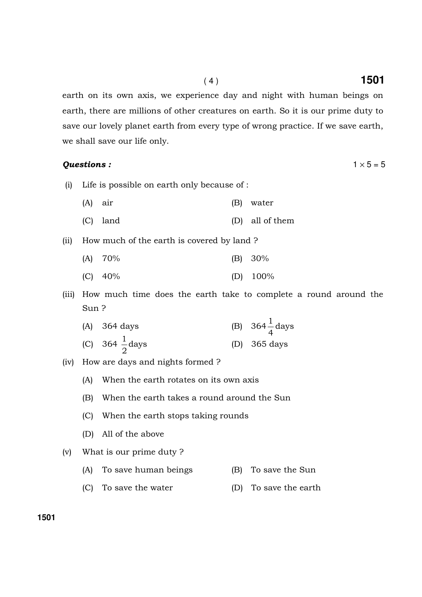earth on its own axis, we experience day and night with human beings on earth, there are millions of other creatures on earth. So it is our prime duty to save our lovely planet earth from every type of wrong practice. If we save earth, we shall save our life only.

#### **Questions :**  $1 \times 5 = 5$

- (i) Life is possible on earth only because of :
	- (A) air (B) water
	- (C) land (D) all of them

(ii) How much of the earth is covered by land ?

| $(A)$ 70% | $(B) 30\%$  |
|-----------|-------------|
| $(C)$ 40% | (D) $100\%$ |

(iii) How much time does the earth take to complete a round around the Sun ?

| $(A)$ 364 days             | (B) $364\frac{1}{4}$ days |
|----------------------------|---------------------------|
| (C) 364 $\frac{1}{2}$ days | (D) $365 \text{ days}$    |

- (iv) How are days and nights formed ?
	- (A) When the earth rotates on its own axis
	- (B) When the earth takes a round around the Sun
	- (C) When the earth stops taking rounds
	- (D) All of the above
- (v) What is our prime duty ?
	- (A) To save human beings (B) To save the Sun
	- (C) To save the water (D) To save the earth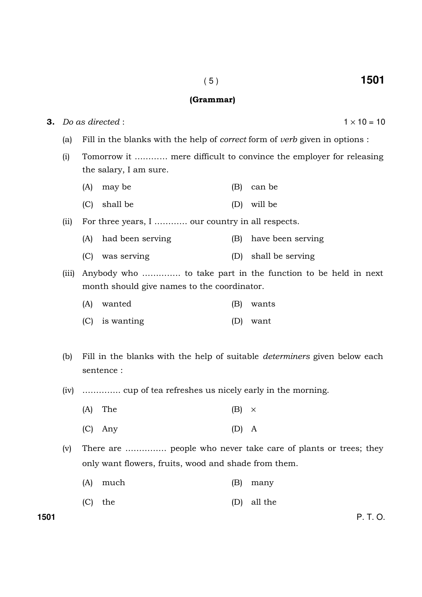#### (Grammar)

3. Do as directed :  $1 \times 10 = 10$ (a) Fill in the blanks with the help of correct form of verb given in options : (i) Tomorrow it ………… mere difficult to convince the employer for releasing the salary, I am sure. (A) may be (B) can be (C) shall be (D) will be (ii) For three years, I ………… our country in all respects. (A) had been serving (B) have been serving (C) was serving (D) shall be serving (iii) Anybody who ………….. to take part in the function to be held in next month should give names to the coordinator. (A) wanted (B) wants (C) is wanting (D) want (b) Fill in the blanks with the help of suitable determiners given below each sentence : (iv) ………….. cup of tea refreshes us nicely early in the morning. (A) The (B)  $\times$  (C) Any (D) A (v) There are …………… people who never take care of plants or trees; they only want flowers, fruits, wood and shade from them. (A) much (B) many

(C) the (D) all the

**1501** P. T. O.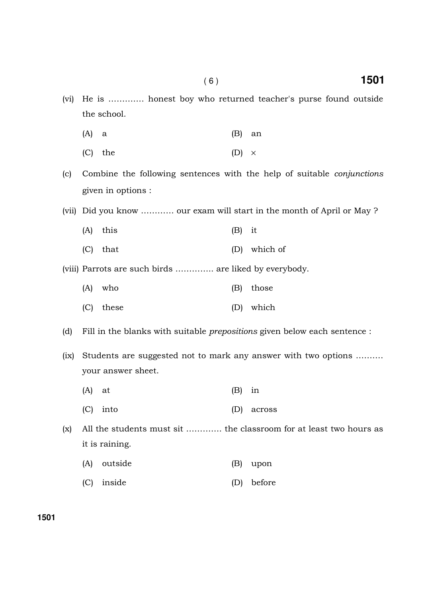- (vi) He is …………. honest boy who returned teacher's purse found outside the school.
	- $(A)$  a  $(B)$  an
	- (C) the (D)  $\times$
- (c) Combine the following sentences with the help of suitable conjunctions given in options :
- (vii) Did you know ………… our exam will start in the month of April or May ?
	- (A) this (B) it
	- (C) that (D) which of
- (viii) Parrots are such birds ………….. are liked by everybody.
	- (A) who (B) those (C) these (D) which
- (d) Fill in the blanks with suitable prepositions given below each sentence :
- (ix) Students are suggested not to mark any answer with two options ………. your answer sheet.
	- (A) at (B) in
	- (C) into (D) across
- (x) All the students must sit …………. the classroom for at least two hours as it is raining.
	- (A) outside (B) upon
	- (C) inside (D) before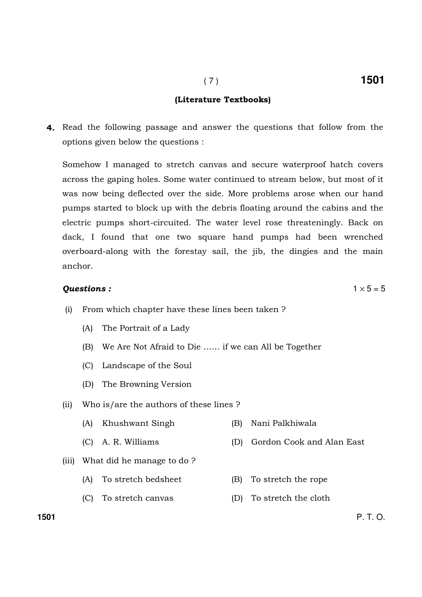### (Literature Textbooks)

4. Read the following passage and answer the questions that follow from the options given below the questions :

Somehow I managed to stretch canvas and secure waterproof hatch covers across the gaping holes. Some water continued to stream below, but most of it was now being deflected over the side. More problems arose when our hand pumps started to block up with the debris floating around the cabins and the electric pumps short-circuited. The water level rose threateningly. Back on dack, I found that one two square hand pumps had been wrenched overboard-along with the forestay sail, the jib, the dingies and the main anchor.

#### **Questions :**  $1 \times 5 = 5$

- (i) From which chapter have these lines been taken ?
	- (A) The Portrait of a Lady
	- (B) We Are Not Afraid to Die …… if we can All be Together
	- (C) Landscape of the Soul
	- (D) The Browning Version
- (ii) Who is/are the authors of these lines ?
	- (A) Khushwant Singh (B) Nani Palkhiwala
	- (C) A. R. Williams (D) Gordon Cook and Alan East
- (iii) What did he manage to do ?
	- (A) To stretch bedsheet (B) To stretch the rope
	- (C) To stretch canvas (D) To stretch the cloth

**1501** P. T. O.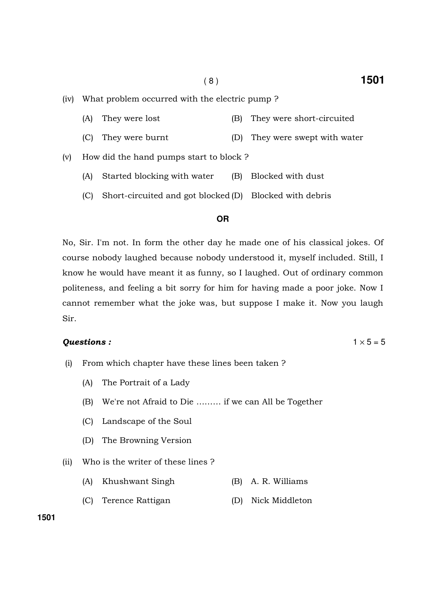- (A) They were lost (B) They were short-circuited
- (C) They were burnt (D) They were swept with water
- (v) How did the hand pumps start to block ?
	- (A) Started blocking with water (B) Blocked with dust
	- (C) Short-circuited and got blocked (D) Blocked with debris

#### **OR**

No, Sir. I'm not. In form the other day he made one of his classical jokes. Of course nobody laughed because nobody understood it, myself included. Still, I know he would have meant it as funny, so I laughed. Out of ordinary common politeness, and feeling a bit sorry for him for having made a poor joke. Now I cannot remember what the joke was, but suppose I make it. Now you laugh Sir.

#### **Questions :**  $1 \times 5 = 5$

- (i) From which chapter have these lines been taken ?
	- (A) The Portrait of a Lady
	- (B) We're not Afraid to Die ……… if we can All be Together
	- (C) Landscape of the Soul
	- (D) The Browning Version
- (ii) Who is the writer of these lines ?
	- (A) Khushwant Singh (B) A. R. Williams
	- (C) Terence Rattigan (D) Nick Middleton

**1501**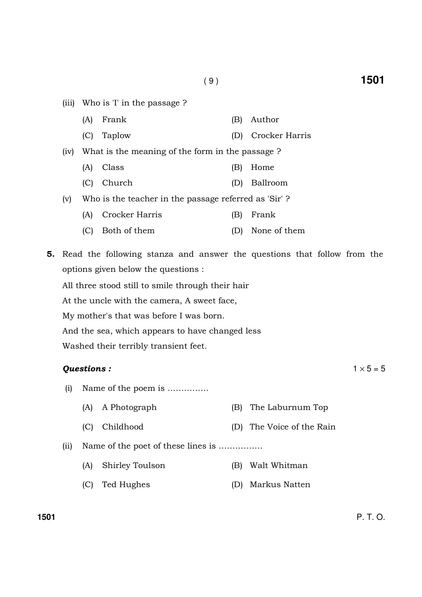- (iii) Who is 'I' in the passage ?
	- (A) Frank (B) Author
	- (C) Taplow (D) Crocker Harris
- (iv) What is the meaning of the form in the passage ?
	- (A) Class (B) Home
	- (C) Church (D) Ballroom
- (v) Who is the teacher in the passage referred as 'Sir' ?
	- (A) Crocker Harris (B) Frank
	- (C) Both of them (D) None of them
- 5. Read the following stanza and answer the questions that follow from the options given below the questions :

All three stood still to smile through their hair

At the uncle with the camera, A sweet face,

My mother's that was before I was born.

And the sea, which appears to have changed less

Washed their terribly transient feet.

#### **Questions :**  $1 \times 5 = 5$

- (i) Name of the poem is ……………
	- (A) A Photograph (B) The Laburnum Top
	- (C) Childhood (D) The Voice of the Rain

(ii) Name of the poet of these lines is …………….

- (A) Shirley Toulson (B) Walt Whitman
- (C) Ted Hughes (D) Markus Natten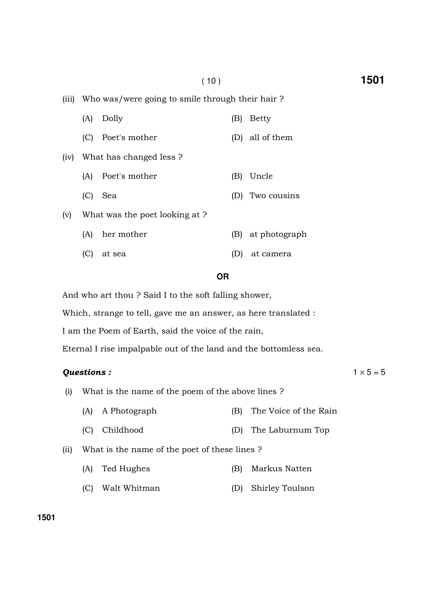(iii) Who was/were going to smile through their hair ?

|      | (A) | Dolly                          | (B) | <b>Betty</b>  |
|------|-----|--------------------------------|-----|---------------|
|      | (C) | Poet's mother                  | (D) | all of them   |
| (iv) |     | What has changed less?         |     |               |
|      | (A) | Poet's mother                  | (B) | Uncle         |
|      | (C) | Sea                            | (D) | Two cousins   |
| (v)  |     | What was the poet looking at ? |     |               |
|      | (A) | her mother                     | (B) | at photograph |
|      |     | at sea                         |     | at camera     |

#### **OR**

And who art thou ? Said I to the soft falling shower,

Which, strange to tell, gave me an answer, as here translated :

I am the Poem of Earth, said the voice of the rain,

Eternal I rise impalpable out of the land and the bottomless sea.

#### **Questions :**  $1 \times 5 = 5$

- (i) What is the name of the poem of the above lines ?
	- (A) A Photograph (B) The Voice of the Rain
	- (C) Childhood (D) The Laburnum Top

(ii) What is the name of the poet of these lines ?

- (A) Ted Hughes (B) Markus Natten
- (C) Walt Whitman (D) Shirley Toulson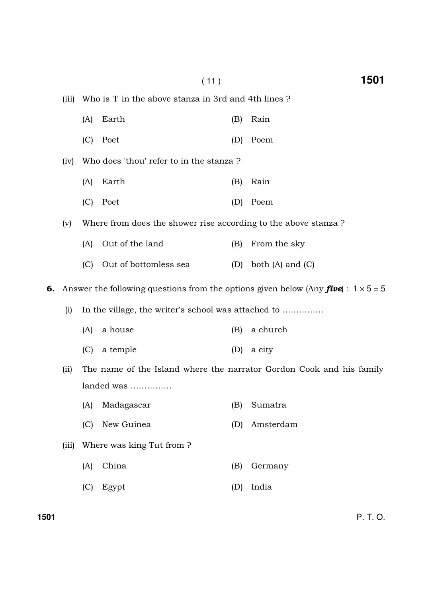|    |       |                                                     | (11)                                                           |     | 1501                                                                                              |  |  |  |
|----|-------|-----------------------------------------------------|----------------------------------------------------------------|-----|---------------------------------------------------------------------------------------------------|--|--|--|
|    | (iii) |                                                     | Who is 'I' in the above stanza in 3rd and 4th lines?           |     |                                                                                                   |  |  |  |
|    |       | (A)                                                 | Earth                                                          | (B) | Rain                                                                                              |  |  |  |
|    |       | (C)                                                 | Poet                                                           | (D) | Poem                                                                                              |  |  |  |
|    | (iv)  |                                                     | Who does 'thou' refer to in the stanza?                        |     |                                                                                                   |  |  |  |
|    |       | (A)                                                 | Earth                                                          | (B) | Rain                                                                                              |  |  |  |
|    |       | (C)                                                 | Poet                                                           | (D) | Poem                                                                                              |  |  |  |
|    | (v)   |                                                     | Where from does the shower rise according to the above stanza? |     |                                                                                                   |  |  |  |
|    |       | (A)                                                 | Out of the land                                                | (B) | From the sky                                                                                      |  |  |  |
|    |       | (C)                                                 | Out of bottomless sea                                          | (D) | both $(A)$ and $(C)$                                                                              |  |  |  |
| 6. |       |                                                     |                                                                |     | Answer the following questions from the options given below (Any <b>five</b> ) : $1 \times 5 = 5$ |  |  |  |
|    | (i)   | In the village, the writer's school was attached to |                                                                |     |                                                                                                   |  |  |  |
|    |       | (A)                                                 | a house                                                        | (B) | a church                                                                                          |  |  |  |
|    |       | (C)                                                 | a temple                                                       | (D) | a city                                                                                            |  |  |  |
|    | (iii) |                                                     |                                                                |     | The name of the Island where the narrator Gordon Cook and his family                              |  |  |  |
|    |       | landed was                                          |                                                                |     |                                                                                                   |  |  |  |
|    |       | (A)                                                 | Madagascar                                                     | (B) | Sumatra                                                                                           |  |  |  |
|    |       | (C)                                                 | New Guinea                                                     | (D) | Amsterdam                                                                                         |  |  |  |
|    | (iii) |                                                     | Where was king Tut from?                                       |     |                                                                                                   |  |  |  |
|    |       | (A)                                                 | China                                                          | (B) | Germany                                                                                           |  |  |  |
|    |       | (C)                                                 | Egypt                                                          | (D) | India                                                                                             |  |  |  |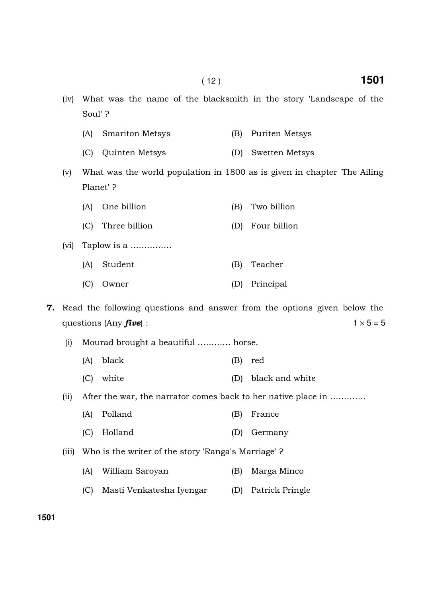- (iv) What was the name of the blacksmith in the story 'Landscape of the Soul' ?
	- (A) Smariton Metsys (B) Puriten Metsys
	- (C) Quinten Metsys (D) Swetten Metsys

(v) What was the world population in 1800 as is given in chapter 'The Ailing Planet' ?

- (A) One billion (B) Two billion
- (C) Three billion (D) Four billion
- (vi) Taplow is a ……………
	- (A) Student (B) Teacher
	- (C) Owner (D) Principal

7. Read the following questions and answer from the options given below the questions (Any **five**) :  $1 \times 5 = 5$ 

- (i) Mourad brought a beautiful ………… horse.
	- (A) black (B) red
	- (C) white (D) black and white

(ii) After the war, the narrator comes back to her native place in ………….

- (A) Polland (B) France
- (C) Holland (D) Germany
- (iii) Who is the writer of the story 'Ranga's Marriage' ?
	- (A) William Saroyan (B) Marga Minco
	- (C) Masti Venkatesha Iyengar (D) Patrick Pringle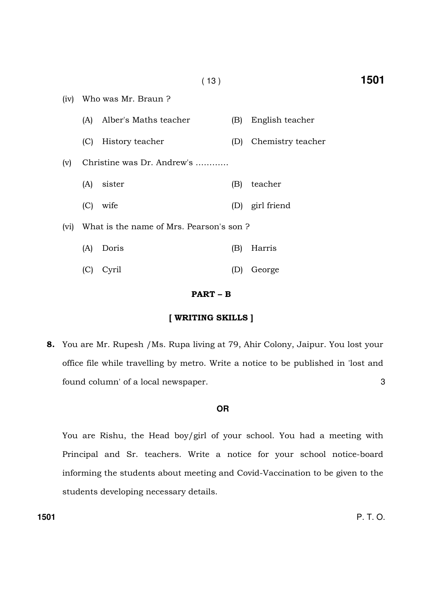| (iv) |                                         | Who was Mr. Braun?         |     |                   |  |  |  |  |  |
|------|-----------------------------------------|----------------------------|-----|-------------------|--|--|--|--|--|
|      | (A)                                     | Alber's Maths teacher      | (B) | English teacher   |  |  |  |  |  |
|      | (C)                                     | History teacher            | (D) | Chemistry teacher |  |  |  |  |  |
| (v)  |                                         | Christine was Dr. Andrew's |     |                   |  |  |  |  |  |
|      | (A)                                     | sister                     | (B) | teacher           |  |  |  |  |  |
|      | (C)                                     | wife                       |     | (D) girl friend   |  |  |  |  |  |
| (vi) | What is the name of Mrs. Pearson's son? |                            |     |                   |  |  |  |  |  |
|      | (A)                                     | Doris                      | (B) | Harris            |  |  |  |  |  |
|      | (C)                                     | Cyril                      | ID. | George            |  |  |  |  |  |

#### PART – B

#### [ WRITING SKILLS ]

8. You are Mr. Rupesh /Ms. Rupa living at 79, Ahir Colony, Jaipur. You lost your office file while travelling by metro. Write a notice to be published in 'lost and found column' of a local newspaper. 3

#### **OR**

You are Rishu, the Head boy/girl of your school. You had a meeting with Principal and Sr. teachers. Write a notice for your school notice-board informing the students about meeting and Covid-Vaccination to be given to the students developing necessary details.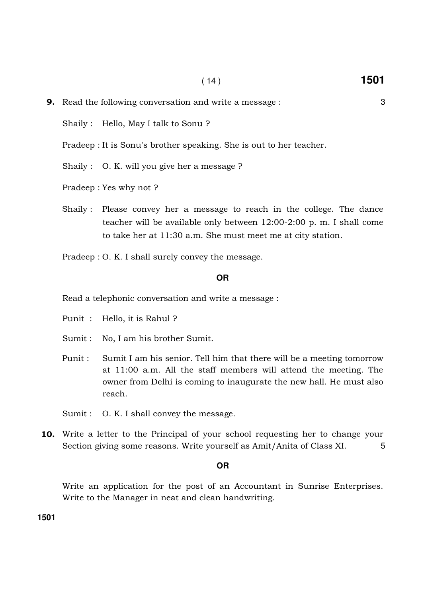**9.** Read the following conversation and write a message :  $\frac{3}{2}$ 

Shaily : Hello, May I talk to Sonu ?

Pradeep : It is Sonu's brother speaking. She is out to her teacher.

Shaily : O. K. will you give her a message ?

Pradeep : Yes why not ?

Shaily : Please convey her a message to reach in the college. The dance teacher will be available only between 12:00-2:00 p. m. I shall come to take her at 11:30 a.m. She must meet me at city station.

Pradeep : O. K. I shall surely convey the message.

#### **OR**

Read a telephonic conversation and write a message :

Punit : Hello, it is Rahul ?

Sumit : No, I am his brother Sumit.

Punit : Sumit I am his senior. Tell him that there will be a meeting tomorrow at 11:00 a.m. All the staff members will attend the meeting. The owner from Delhi is coming to inaugurate the new hall. He must also reach.

10. Write a letter to the Principal of your school requesting her to change your Section giving some reasons. Write yourself as Amit/Anita of Class XI. 5

#### **OR**

Write an application for the post of an Accountant in Sunrise Enterprises. Write to the Manager in neat and clean handwriting.

**1501** 

Sumit : O. K. I shall convey the message.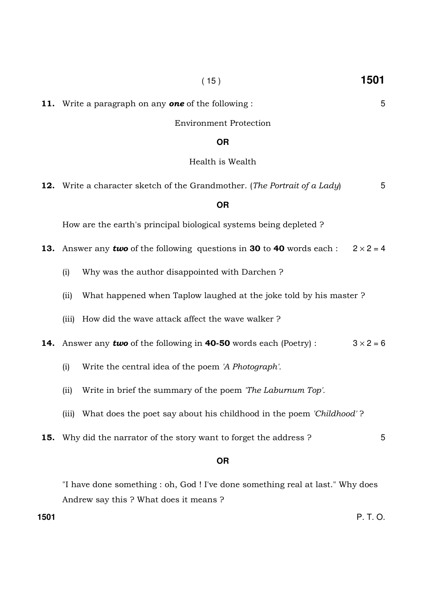|     |           | <b>Environment Protection</b>                                                                               |   |  |  |  |  |  |
|-----|-----------|-------------------------------------------------------------------------------------------------------------|---|--|--|--|--|--|
|     | <b>OR</b> |                                                                                                             |   |  |  |  |  |  |
|     |           | Health is Wealth                                                                                            |   |  |  |  |  |  |
|     |           | <b>12.</b> Write a character sketch of the Grandmother. (The Portrait of a Lady)                            | 5 |  |  |  |  |  |
|     |           | <b>OR</b>                                                                                                   |   |  |  |  |  |  |
|     |           | How are the earth's principal biological systems being depleted?                                            |   |  |  |  |  |  |
| 13. |           | $2 \times 2 = 4$<br>Answer any <b>two</b> of the following questions in <b>30</b> to <b>40</b> words each : |   |  |  |  |  |  |
|     | (i)       | Why was the author disappointed with Darchen?                                                               |   |  |  |  |  |  |
|     | (ii)      | What happened when Taplow laughed at the joke told by his master?                                           |   |  |  |  |  |  |
|     | (iii)     | How did the wave attack affect the wave walker?                                                             |   |  |  |  |  |  |
| 14. |           | $3 \times 2 = 6$<br>Answer any <b>two</b> of the following in <b>40-50</b> words each (Poetry) :            |   |  |  |  |  |  |
|     | (i)       | Write the central idea of the poem 'A Photograph'.                                                          |   |  |  |  |  |  |
|     | (ii)      | Write in brief the summary of the poem <i>The Laburnum Top'</i> .                                           |   |  |  |  |  |  |
|     | (iii)     | What does the poet say about his childhood in the poem 'Childhood'?                                         |   |  |  |  |  |  |
| 15. |           | Why did the narrator of the story want to forget the address?                                               | 5 |  |  |  |  |  |
|     |           | <b>OR</b>                                                                                                   |   |  |  |  |  |  |
|     |           | "I have done something : ab. God I I've done something real at last "Why does"                              |   |  |  |  |  |  |

11. Write a paragraph on any **one** of the following : 5

"I have done something : oh, God ! I've done something real at last." Why does Andrew say this ? What does it means ?

**1501** P. T. O.

( 15 ) **1501**